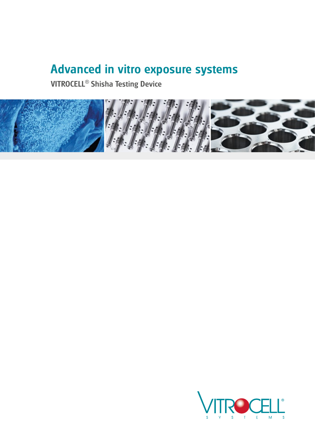# Advanced in vitro exposure systems

VITROCELL® Shisha Testing Device



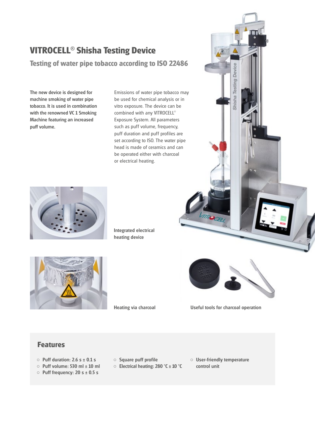## **VITROCELL**® **Shisha Testing Device**

**Testing of water pipe tobacco according to ISO 22486**

The new device is designed for machine smoking of water pipe tobacco. It is used in combination with the renowned VC 1 Smoking Machine featuring an increased puff volume.

Emissions of water pipe tobacco may be used for chemical analysis or in vitro exposure. The device can be combined with any VITROCELL® Exposure System. All parameters such as puff volume, frequency, puff duration and puff profiles are set according to ISO. The water pipe head is made of ceramics and can be operated either with charcoal or electrical heating.



Integrated electrical heating device





**MROCEL** 

Device

Testing

Shisha

Heating via charcoal

Useful tools for charcoal operation

#### **Features**

- $\circ$  Puff duration: 2.6 s  $\pm$  0.1 s
- $\circ$  Puff volume: 530 ml  $\pm$  10 ml
- $\circ$  Puff frequency: 20 s  $\pm$  0.5 s
- Square puff profile
- Electrical heating: 280 °C ± 10 °C
- User-friendly temperature control unit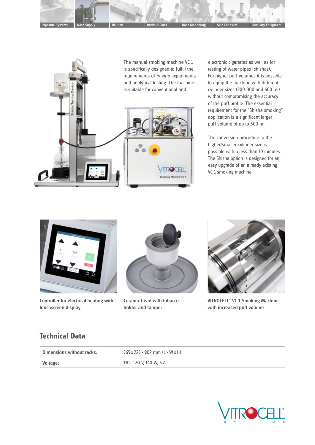



electronic cigarettes as well as for testing of water pipes (shishas). For higher puff volumes it is possible to equip the machine with different cylinder sizes (200, 300 and 600 ml) without compromising the accuracy of the puff profile. The essential requirement for the "Shisha smoking" application is a significant larger puff volume of up to 600 ml.

The conversion procedure to the higher/smaller cylinder size is possible within less than 10 minutes. The Shisha option is designed for an easy upgrade of an already existing VC 1 smoking machine.



Controller for electrical heating with touchscreen display



Ceramic head with tobacco holder and tamper



VITROCELL® VC 1 Smoking Machine with increased puff volume

### **Technical Data**

| Dimensions without racks: | 565 x 225 x 902 mm (L x W x H) |
|---------------------------|--------------------------------|
| Voltage:                  | 110-120 V, 140 W, 5 A          |